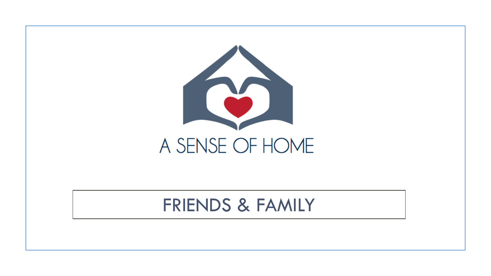

## FRIENDS & FAMILY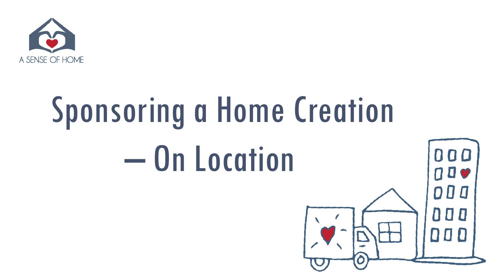

# Sponsoring a Home Creation – On Location

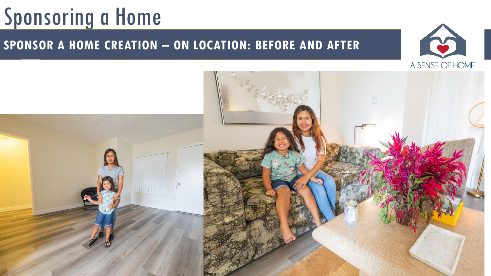### **SPONSOR A HOME CREATION – ON LOCATION: BEFORE AND AFTER**



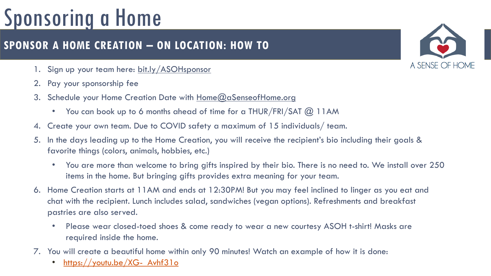### **SPONSOR A HOME CREATION – ON LOCATION: HOW TO**

- 1. Sign up your team here:<bit.ly/ASOHsponsor>
- 2. Pay your sponsorship fee
- 3. Schedule your Home Creation Date with [Home@aSenseofHome.org](mailto:Home@aSenseofHome.org)
	- You can book up to 6 months ahead of time for a THUR/FRI/SAT @ 11AM
- 4. Create your own team. Due to COVID safety a maximum of 15 individuals/ team.
- 5. In the days leading up to the Home Creation, you will receive the recipient's bio including their goals & favorite things (colors, animals, hobbies, etc.)
	- You are more than welcome to bring gifts inspired by their bio. There is no need to. We install over 250 items in the home. But bringing gifts provides extra meaning for your team.
- 6. Home Creation starts at 11AM and ends at 12:30PM! But you may feel inclined to linger as you eat and chat with the recipient. Lunch includes salad, sandwiches (vegan options). Refreshments and breakfast pastries are also served.
	- Please wear closed-toed shoes & come ready to wear a new courtesy ASOH t-shirt! Masks are required inside the home.
- 7. You will create a beautiful home within only 90 minutes! Watch an example of how it is done:
	- [https://youtu.be/XG-\\_Avhf31o](https://youtu.be/XG-_Avhf31o)

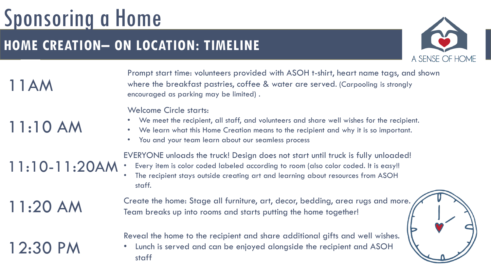### **HOME CREATION– ON LOCATION: TIMELINE**



11AM

## 11:10 AM

11:10-11:20AM

where the breakfast pastries, coffee & water are served. (Carpooling is strongly<br>encouraged as parking may be limited) . Prompt start time: volunteers provided with ASOH t-shirt, heart name tags, and shown encouraged as parking may be limited) .

Welcome Circle starts:

- We meet the recipient, all staff, and volunteers and share well wishes for the recipient.
- We learn what this Home Creation means to the recipient and why it is so important.
- You and your team learn about our seamless process

EVERYONE unloads the truck! Design does not start until truck is fully unloaded!

• Every item is color coded labeled according to room (also color coded. It is easy!! The recipient stays outside creating art and learning about resources from ASOH staff.

11:20 AM

12:30 PM

Create the home: Stage all furniture, art, decor, bedding, area rugs and more. Team breaks up into rooms and starts putting the home together!

Reveal the home to the recipient and share additional gifts and well wishes.

• Lunch is served and can be enjoyed alongside the recipient and ASOH staff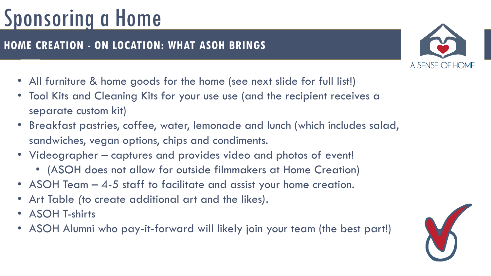### **HOME CREATION - ON LOCATION: WHAT ASOH BRINGS**

- All furniture & home goods for the home (see next slide for full list!)
- Tool Kits and Cleaning Kits for your use use (and the recipient receives a separate custom kit)
- Breakfast pastries, coffee, water, lemonade and lunch (which includes salad, sandwiches, vegan options, chips and condiments.
- Videographer captures and provides video and photos of event!
	- (ASOH does not allow for outside filmmakers at Home Creation)
- ASOH Team 4-5 staff to facilitate and assist your home creation.
- Art Table *(*to create additional art and the likes*).*
- ASOH T-shirts
- ASOH Alumni who pay-it-forward will likely join your team (the best part!)